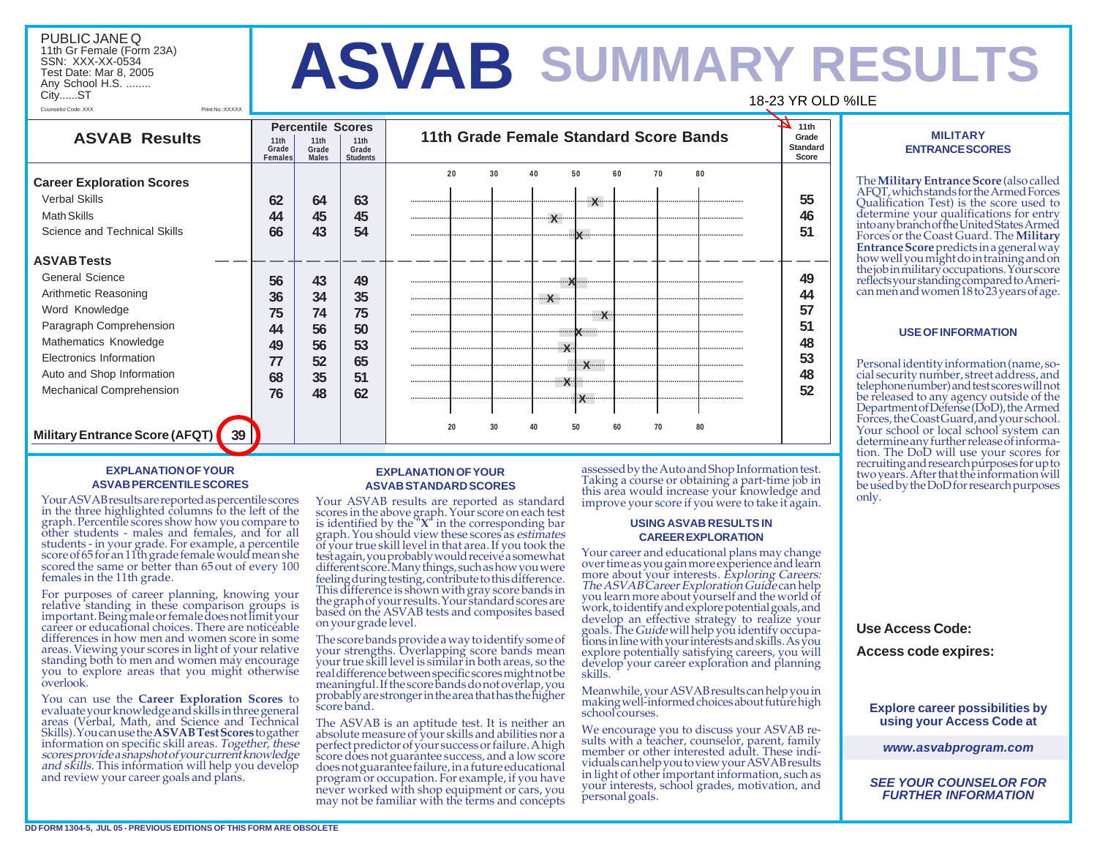#### PUBLIC JANE Q 11th Gr Female (Form 23A) SSN: XXX-XX-0534 Test Date: Mar 8, 2005 Any School H.S. ........ City......ST Counselor Code: XXX Print No.:XXXXX

# **SUMMARY RESULTS ASVAB** 18-23 YR OLD %ILE



# **EXPLANATION OF YOUR ASVAB PERCENTILE SCORES**

Your ASVAB results are reported as percentile scores in the three highlighted columns to the left of the graph. Percentile scores show how you compare to other students - males and females, and for all students - in your grade. For example, a percentile score of 65 for an 11th grade female would mean she scored the same or better than 65 out of every 100 females in the 11th grade.

For purposes of career planning, knowing your relative standing in these comparison groups is important. Being male or female does not limit your career or educational choices. There are noticeable differences in how men and women score in some areas. Viewing your scores in light of your relative standing both to men and women may encourage you to explore areas that you might otherwise overlook.

You can use the **Career Exploration Scores** to evaluate your knowledge and skills in three general areas (Verbal, Math, and Science and Technical information on specific skill areas. Together, these scores provide a snapshot of your current knowledge and skills. This information will help you develop and review your career goals and plans.

### **EXPLANATION OF YOUR ASVAB STANDARD SCORES**

Your ASVAB results are reported as standard scores in the above graph. Your score on each test<br>is identified by the "**X**" in the corresponding bar<br>graph. You should view these scores as *estimates* of your true skill level in that area. If you took the test again, you probably would receive a somewhat different score. Many things, such as how you were feeling during testing, contribute to this difference. This difference is shown with gray score bands in the graph of your results. Your standard scores are based on the ASVAB tests and composites based on your grade level.

The score bands provide a way to identify some of your strengths. Overlapping score bands mean your true skill level is similar in both areas, so the real difference between specific scores might not be meaningful. If the score bands do not overlap, you probably are stronger in the area that has the higher score band.

The ASVAB is an aptitude test. It is neither an absolute measure of your skills and abilities nor a perfect predictor of your success or failure. A high score does not guarantee success, and a low score does not guarantee failure, in a future educational program or occupation. For example, if you have never worked with shop equipment or cars, you may not be familiar with the terms and concepts assessed by the Auto and Shop Information test. Taking a course or obtaining a part-time job in this area would increase your knowledge and improve your score if you were to take it again.

#### **USING ASVAB RESULTS IN CAREER EXPLORATION**

Your career and educational plans may change over time as you gain more experience and learn<br>more about your interests. *Exploring Careers:<br>The ASVAB Career Exploration Guide* can help<br>you learn more about yourself and the world of work, to identify and explore potential goals, and develop an effective strategy to realize your goals. The Guide will help you identify occupa- tions in line with your interests and skills. As you explore potentially satisfying careers, you will develop your career exploration and planning skills.

Meanwhile, your ASVAB results can help you in making well-informed choices about future high school courses.

We encourage you to discuss your ASVAB results with a teacher, counselor, parent, family member or other interested adult. These individuals can help you to view your ASVAB results in light of other important information, such as your interests, school grades, motivation, and personal goals.

# **MILITARY ENTRANCE SCORES**

The **Military Entrance Score** (also called AFQT, which stands for the Armed Forces Qualification Test) is the score used to determine your qualifications for entry into any branch of the United States Armed<br>Forces or the Coast Guard. The Military **Entrance Score** predicts in a general way how well you might do in training and on the job in military occupations. Your score reflects your standing compared to American men and women 18 to 23 years of age.

# **USE OF INFORMATION**

Personal identity information (name, social security number, street address, and telephone number) and test scores will not be released to any agency outside of the Department of Defense (DoD), the Armed Forces, the Coast Guard, and your school. Your school or local school system can determine any further release of information. The DoD will use your scores for recruiting and research purposes for up to two years. After that the information will be used by the DoD for research purposes only.

# **Use Access Code:**

**Access code expires:**

**Explore career possibilities by using your Access Code at**

*www.asvabprogram.com*

*SEE YOUR COUNSELOR FOR FURTHER INFORMATION*